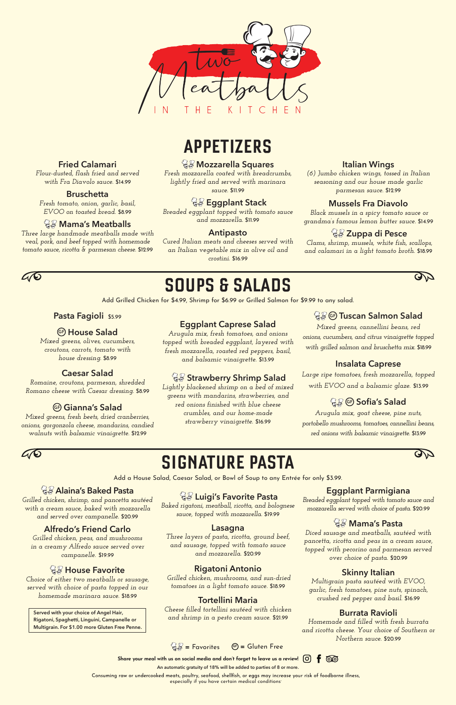$$
\mathbb{Q} \mathbb{F} = \text{Favorites} \qquad \mathbb{G} = \text{Gluten Free}
$$

Share your meal with us on social media and don't forget to leave us a review!  $\boxed{\text{O}}$  $f$  00



# **APPETIZERS**

# **SOUPS & SALADS**

Add Grilled Chicken for \$4.99, Shrimp for \$6.99 or Grilled Salmon for \$9.99 to any salad.

# **SIGNATURE PASTA**



**AY** 

Add a House Salad, Caesar Salad, or Bowl of Soup to any Entrée for only \$3.99.

**Fried Calamari**  *Flour-dusted, flash fried and served with Fra Diavolo sauce.* \$14.99

**Bruschetta**  *Fresh tomato, onion, garlic, basil, EVOO on toasted bread.* \$8.99

 **Mama's Meatballs** *Three large handmade meatballs made with veal, pork, and beef topped with homemade tomato sauce, ricotta & parmesan cheese.* \$12.99

#### **Mozzarella Squares**

*Fresh mozzarella coated with breadcrumbs, lightly fried and served with marinara sauce.* \$11.99

#### **Eggplant Stack**

*Breaded eggplant topped with tomato sauce and mozzarella.* \$11.99

#### **Antipasto**

*Cured Italian meats and cheeses served with an Italian vegetable mix in olive oil and crostini.* \$16.99

#### **Italian Wings**

*(6) Jumbo chicken wings, tossed in Italian seasoning and our house made garlic parmesan sauce.* \$12.99

#### **Mussels Fra Diavolo**

 *Black mussels in a spicy tomato sauce or grandma's famous lemon butter sauce.* \$14.99

#### **Zuppa di Pesce**

 *Clams, shrimp, mussels, white fish, scallops, and calamari in a light tomato broth.* \$18.99



#### **Pasta Fagioli** \$5.99

#### **GF House Salad**

*Mixed greens, olives, cucumbers, croutons, carrots, tomato with house dressing.* \$8.99

#### **Caesar Salad**

*Romaine, croutons, parmesan, shredded Romano cheese with Caesar dressing.* \$8.99

#### **GF Gianna's Salad**

*Mixed greens, fresh beets, dried cranberries, onions, gorgonzola cheese, mandarins, candied walnuts with balsamic vinaigrette.* \$12.99

#### **Eggplant Caprese Salad**

*Arugula mix, fresh tomatoes, and onions topped with breaded eggplant, layered with fresh mozzarella, roasted red peppers, basil, and balsamic vinaigrette.* \$13.99

#### *<u>& Strawberry Shrimp Salad</u>*

*Lightly blackened shrimp on a bed of mixed greens with mandarins, strawberries, and red onions finished with blue cheese crumbles, and our home-made strawberry vinaigrette.* \$16.99

#### **GF Tuscan Salmon Salad**

*Mixed greens, cannellini beans, red onions, cucumbers, and citrus vinaigrette topped with grilled salmon and bruschetta mix.* \$18.99

#### **Insalata Caprese**

*Large ripe tomatoes, fresh mozzarella, topped with EVOO and a balsamic glaze.* \$13.99

#### **GF Sofia's Salad**

*Arugula mix, goat cheese, pine nuts, portobello mushrooms, tomatoes, cannellini beans, red onions with balsamic vinaigrette.* \$13.99



#### **Alaina's Baked Pasta**

*Grilled chicken, shrimp, and pancetta sautéed with a cream sauce, baked with mozzarella and served over campanelle.* \$20.99

#### **Alfredo's Friend Carlo**

*Grilled chicken, peas, and mushrooms in a creamy Alfredo sauce served over campanelle.* \$19.99

#### *<u>& House Favorite</u>*

*Choice of either two meatballs or sausage, served with choice of pasta topped in our homemade marinara sauce.* \$18.99

### **Luigi's Favorite Pasta**

*Baked rigatoni, meatball, ricotta, and bolognese sauce, topped with mozzarella.* \$19.99

#### **Lasagna**

*Three layers of pasta, ricotta, ground beef, and sausage, topped with tomato sauce and mozzarella.* \$20.99

#### **Rigatoni Antonio**

*Grilled chicken, mushrooms, and sun-dried tomatoes in a light tomato sauce.* \$18.99

#### **Tortellini Maria**

*Cheese filled tortellini sautéed with chicken and shrimp in a pesto cream sauce.* \$21.99

#### **Eggplant Parmigiana**

*Breaded eggplant topped with tomato sauce and mozzarella served with choice of pasta.* \$20.99

#### **Mama's Pasta**

*Diced sausage and meatballs, sautéed with pancetta, ricotta and peas in a cream sauce, topped with pecorino and parmesan served over choice of pasta.* \$20.99

#### **Skinny Italian**

*Multigrain pasta sautéed with EVOO, garlic, fresh tomatoes, pine nuts, spinach, crushed red pepper and basil.* \$16.99

#### **Burrata Ravioli**

*Homemade and filled with fresh burrata and ricotta cheese. Your choice of Southern or Northern sauce.* \$20.99

**Served with your choice of Angel Hair, Rigatoni, Spaghetti, Linguini, Campanelle or Multigrain. For \$1.00 more Gluten Free Penne.**

**An automatic gratuity of 18% will be added to parties of 8 or more.**

Consuming raw or undercooked meats, poultry, seafood, shellfish, or eggs may increase your risk of foodborne illness,<br>especially if you have certain medical conditions<sup>.</sup>